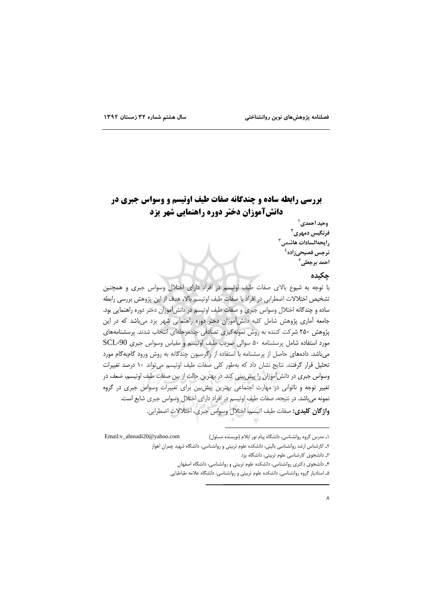## **بررسی رابطه ساده و چندگانه صفات طیف اوتیسم و وسواس جبری در** دانشآموزان دختر دوره راهنمایی شهر یزد

وحيد احمدي` فرنگیس دمهری<sup>۲</sup> رايحهالسادات هاشمي<sup>۳</sup> نرجس فصيحىزاده<sup>٤</sup> احمد برجعلي<sup>0</sup>

### حكىدە

با توجه به شیوع بالای صفات طیف اوتیسم در افراد دارای اختلال وسواس جبری و همچنین تشخيص اختلالات اضطرابي در افراد با صفات طيف اوتيسم بالا، هدف از اين پژوهش بررسي رابطه ساده و چندگانه اختلال وسواس جبری و صفات طیف اوتیسم در دانش آموزان دختر دوره راهنمایی بود. جامعه آماری پژوهش شامل کلیه دانش آموزان دختر دوره راهنمایی شهر یزد می باشد که در این پژوهش ۲۵۰ شرکت کننده به روش نمونهگیری تصادفی چندمرحلهای انتخاب شدند. پرسشنامههای مورد استفاده شامل پرسشنامه ۵۰ سوالی ضریب طیف اوتیسم و مقیاس وسواس جبری SCL-90 می باشد. دادههای حاصل از پرسشنامه با استفاده از رگرسیون چندگانه به روش ورود گامیهگام مورد تحلیل قرار گرفتند. نتایج نشان داد که بهطور کلی صفات طیف اوتیسم می تواند ١٠ درصد تغییرات وسواس جبری در دانش آموزان را پیش بینی کند. در بهترین حالت از بین صفات طیف اوتیسم، ضعف در تغییر توجه و ناتوانی در مهارت اجتماعی بهترین پیش بین برای تغییرات وسواس جبری در گروه نمونه میباشد. در نتیجه، صفات طیف اوتیسم در افراد دارای اختلال وسواس جبری شایع است. واژگان كليدي: صفات طيف اتيسم، اختلال وسواس جبري، اختلالات اضطرابي.

Email: v\_ahmadi20@yahoo.com ۱ـ مدرس گروه روانشناسی، دانشگاه پیام نور ایلام (نویسنده مسئول)

۲ـ کارشناس ارشد روانشناسی بالینی، دانشکده علوم تربیتی و روانشناسی، دانشگاه شهید چمران اهواز

٣ـ دانشجوى كارشناسى علوم تربيتى، دانشگاه يزد

۴ـ دانشجوی دکتری روانشناسی، دانشکده علوم تربیتی و روانشناسی، دانشگاه اصفهان

۵ـ استادیار گروه روانشناسی، دانشکده علوم تربیتی و روانشناسی، دانشگاه علامه طباطبایی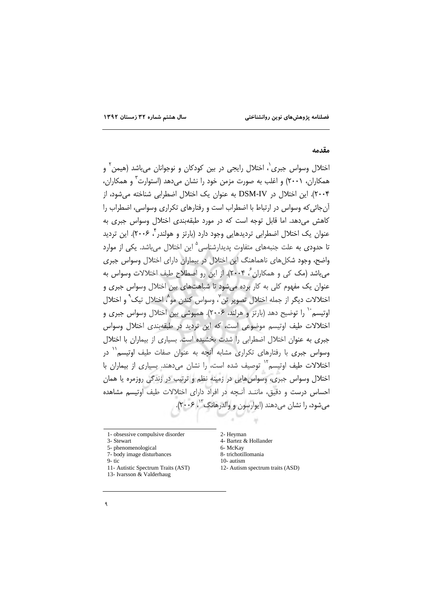#### مقدمه

اختلال وسواس جبری`، اختلال رایجی در بین کودکان و نوجوانان می،باشد (هیمن<sup>۲</sup> و همکاران، ۲۰۰۱) و اغلب به صورت مزمن خود را نشان می دهد (استوارت ؓ و همکاران، ۲۰۰۴). این اختلال در DSM-IV به عنوان یک اختلال اضطرابی شناخته می شود، از آن جائی که وسواس در ارتباط با اضطراب است و رفتارهای تکراری وسواسی، اضطراب را كاهش مي دهد. اما قابل توجه است كه در مورد طبقهبندى اختلال وسواس جبرى به عنوان یک اختلال اضطرابی تردیدهایی وجود دارد (بارتز و هولندر ٔ ۲۰۰۶). این تردید تا حدودی به علت جنبههای متفاوت پدیدارشناسی<sup>۵</sup> این اختلال میباشد. یکی از موارد واضح، وجود شکلهای ناهماهنگ این اختلال در بیماران دارای اختلال وسواس جبری می باشد (مک کی و همکاران ؒ، ۲۰۰۴). از این رو اصطلاح طیف اختلالات وسواس به .<br>عنوان یک مفهوم کلی به کار برده می شود تا شباهتهای بین اختلال وسواس جبری و اختلالات ديگر از حمله اختلال تصوير تن'، وسواس كندن مو<sup>^</sup>، اختلال تيك<sup>∿</sup> و اختلال اوتیسم ٔ ( را توضیح دهد (بارتز و هرلند، ۲۰۰۶). همپوشی بین اختلال وسواس جبری و اختلالات طیف اوتیسم موضوعی است، که این تردید در طبقهبندی اختلال وسواس جبری به عنوان اختلال اضطرابی را شدت بخشیده است. بسیاری از بیماران با اختلال وسواس جبری با رفتارهای تکراری مشابه آنچه به عنوان صفات طیف اوتیسم<sup>۱۱</sup> در اختلالات طیف اوتیسم<sup>۱۲</sup> توصیف شده است، را نشان می دهند. بسیاری از بیماران با اختلال وسواس جبري، وسواس هايي در زمينه نظم و ترتيب در زندگي روزمره يا همان احساس درست و دقیق، ماننـد آنـجه در افراد دارای اختلالات طیف اوتیسم مشاهده میشود، را نشان میدهند (ایوارسون و والدرهانگ<sup>۳</sup>'، ۲۰۰۶).

1- obsessive compulsive disorder

- 3- Stewart
- 5- phenomenological
- 7- body image disturbances
- $9 t$ ic
- 11- Autistic Spectrum Traits (AST)
- 13- Ivarsson & Valderhaug
- 2- Heyman
- 4- Bartez & Hollander 6- McKay
- 8- trichotillomania
- 10-autism
- 12- Autism spectrum traits (ASD)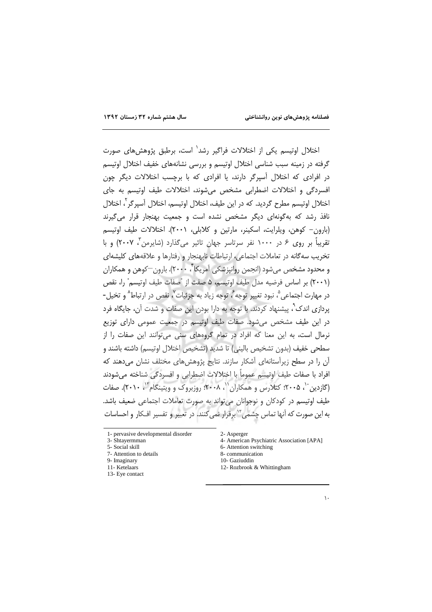اختلال اوتیسم یکی از اختلالات فراگیر رشد<sup>٬</sup> است، برطبق پژوهشهای صورت گرفته در زمینه سبب شناسی اختلال اوتیسم و بررسی نشانههای خفیف اختلال اوتیسم در افرادی که اختلال آسیرگر دارند، یا افرادی که با برچسب اختلالات دیگر چون افسردگی و اختلالات اضطرابی مشخص می شوند، اختلالات طیف اوتیسم به جای اختلال اوتیسم مطرح گردید. که در این طیف، اختلال اوتیسم، اختلال آسپرگر<sup>۲</sup>، اختلال نافذ رشد که بهگونهای دیگر مشخص نشده است و جمعیت بهنجار قرار میگیرند (بارون– کوهن، ویلرایت، اسکینر، مارتین و کلابلی، ۲۰۰۱). اختلالات طیف اوتیسم تقریباً بر روی ۶ در ۱۰۰۰ نفر سرتاسر جهان تاثیر میگذارد (شایرمن ٌ، ۲۰۰۷) و با تخریب سه گانه در تعاملات اجتماعی، ارتباطات نابهنجار و رفتارها و علاقههای کلیشهای و محدود مشخص می شود (انجمن روانیزشکی آمریکا ۲۰۰۰). بارون—کوهن و همکاران (۲۰۰۱) بر اساس فرضیه مدل طیف اوتیسم، ۵ صفت از تصفات طیف اوتیسم" را، نقص در مهارت اجتماعي ؓ، نبود تغيير توجه ؒ، توجه زياد به جزئيات ؒ، نقص در ارتباط ؓ و تخيل-پردازی اندک ٌ، پیشنهاد کردند. با توجه به دارا بودن این صفات و شدت آن، جایگاه فرد در این طیف مشخص می شود. صفات طیف اوتیسم در جمعیت عمومی دارای توزیع نرمال است، به این معنا که افراد در تمام گروههای سنی می توانند این صفات را از سطحي خفيف (بدون تشخيص باليني) تا شديد (تشخيص اختلال اوتيسم) داشته باشند و آن را در سطح زیرآستانهای آشکار سازند. نتایج پژوهش های مختلف نشان می دهند که افراد با صفات طيف اوتيسم عموماً با اختلالات اضطرابي و افسردگي شناخته مي شودند (گازدین ``، ۲۰۰۵؛ کتلارس و همکاران``، ۲۰۰۸؛ روزبروک و ویتینگام ``. ۲۰۱۰). صفات طيف اوتيسم در كودكان و نوجوانان مي تواند به صورت تعاملات اجتماعي ضعيف باشد. به این صورت که آنها تماس چشمی<sup>۱۲</sup> برقرار نمی کنند. در تعبیر و تفسیر افـکار و احساسات

- 3- Shtayermman 5- Social skill
- 7- Attention to details
- 9- Imaginary
- 11- Ketelaars
- 13- Eve contact
- 2- Asperger
- 4- American Psychiatric Association [APA]
- 6- Attention switching
- 8- communication
- 10- Gaziuddin
- 12- Rozbrook & Whittingham

<sup>1-</sup> pervasive developmental disorder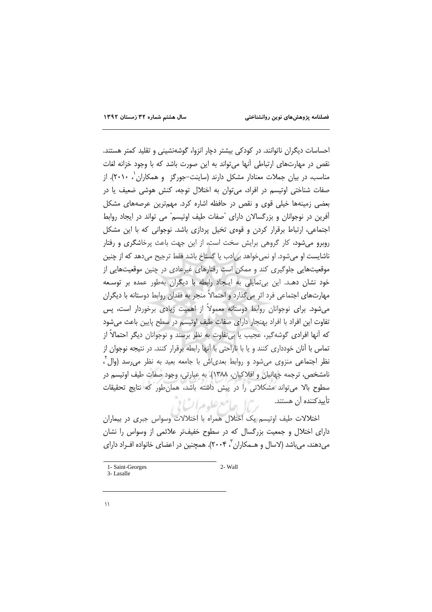احساسات دیگران ناتوانند. در کودکی بیشتر دچار انزوا، گوشهنشینی و تقلید کمتر هستند. نقص در مهارتهای ارتباطی آنها می تواند به این صورت باشد که با وجود خزانه لغات مناسب، در بیان جملات معنادار مشکل دارند (ساینت–جورگز و همکاران ۲۰۱۰). از صفات شناختی اوتیسم در افراد، می توان به اختلال توجه، کنش هوشی ضعیف یا در بعضی زمینهها خیلی قوی و نقص در حافظه اشاره کرد. مهمترین عرصههای مشکل آفرین در نوجوانان و بزرگسالان دارای "صفات طیف اوتیسم" می تواند در ایجاد روابط اجتماعی، ارتباط برقرار کردن و قوهی تخیل پردازی باشد. نوجوانی که با این مشکل روبرو می شود، کار گروهی برایش سخت است، از این جهت باعث پرخاشگری و رفتار ناشایست او می شود. او نمی خواهد بی|دب یا گستاخ باشد فقط ترجیح میدهد که از چنین موقعیتهایی جلوگیری کند و ممکن است رفتارهای غیرعادی در چنین موقعیتهایی از خود نشان دهـد. این بی تمایلی به ایـجاد رابطه با دیگران بهطور عمده بر توسـعه مهارتهای اجتماعی فرد اثر می گذارد و احتمالاً منجر به فقدان روابط دوستانه با دیگران میشود. برای نوجوانان روابط دوستانه معمولاً از اهمیت زیادی برخوردار است، پس تفاوت این افراد با افراد بهنجار دارای صفات طیف اوتیسم در سطح پایین باعث می شود كه أنها افرادي گوشهگير، عجيب يا بي تفاوت به نظر برسند و نوجوانان ديگر احتمالاً از تماس با آنان خودداری کنند و یا با ناراحتی با آنها رابطه برقرار کنند. در نتیجه نوجوان از نظر اجتماعی منزوی می شود و روابط بعدی اش با جامعه بعید به نظر می رسد (وال ً، نامشخص، ترجمه جهانيان و افلاكيان، ١٣٨٨). به عبارتي، وجود صفات طيف اوتيسم در سطوح بالا می تواند مشکلاتی را در پیش داشته باشد، همان طور که نتایج تحقیقات تأييدكننده آن هستند. بريما جلامع علوم اتياني

اختلالات طیف اوتیسم یک اختلال همراه با اختلالات وسواس جبری در بیماران دارای اختلال و جمعیت بزرگسال که در سطوح خفیفتر علائمی از وسواس را نشان مے دھند، مے باشد (لاسال و هــمکاران ، ۲۰۰۴). همچنین در اعضای خانواده افــراد دارای

 $2 -$  Wall

<sup>1-</sup> Saint-Georges 3-Lasalle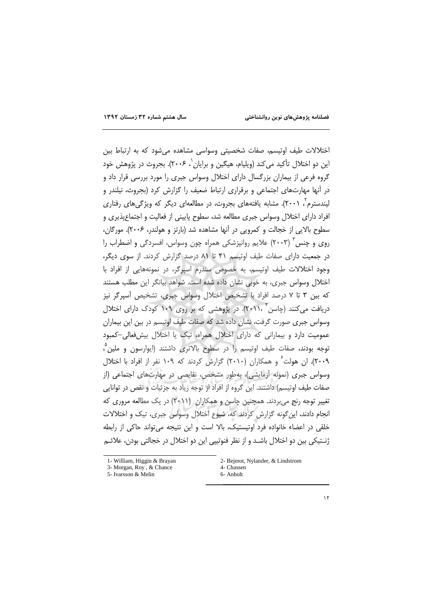اختلالات طیف اوتیسم، صفات شخصیتی وسواسی مشاهده می شود که به ارتباط بین ابن دو اختلال تأکید می کند (ویلیام، هیگین و پرایان`، ۲۰۰۶). بحروث در پژوهش خود گروه فرعی از بیماران بزرگسال دارای اختلال وسواس جبری را مورد بررسی قرار داد و در آنها مهارتهای اجتماعی و برقراری ارتباط ضعیف را گزارش کرد (بجروث، نیلندر و لیندسترم ، (۲۰۰). مشابه یافتههای بحروث، در مطالعهای دیگر که ویژگر های رفتاری افراد دارای اختلال وسواس جبری مطالعه شد، سطوح پایینی از فعالیت و اجتماع پذیری و سطوح بالایی از خجالت و کمرویی در آنها مشاهده شد (بارتز و هولندر، ۲۰۰۶). مورگان، روی و چنس آ (۲۰۰۳) علایم روانیزشکی همراه چون وسواس، افسردگی و اضطراب را در جمعیت دارای صفات طیف اوتیسم ۴۱ تا ۸۱ درصد گزارش کردند. از سوی دیگر، وجود اختلالات طیف اوتیسم، به خصوص سندرم اسپرگر، در نمونههایی از افراد با اختلال وسواس جبری، به خوبی نشان داده شده است. شواهد بیانگر این مطلب هستند که بین ۳ تا ۷ درصد افراد با تشخیص اختلال وسواس جبری، تشخیص آسپرگر نیز دریافت میکنند (چاسن ۲۰۱۱، ۲). در پژوهشی که بر روی ۱۰۹ کودک دارای اختلال وسواس جبری صورت گرفت، نشان داده شد که صفات طیف اوتیسم در بین این بیماران عمومیت دارد و بیمارانی که دارای اختلال همراه، تیک یا اختلال بیش فعالی-کمبود توجه بودند، صفات طیف اوتیسم را در سطوح بالاتری داشتند (ایوارسون و ملین ؓ، ۲۰۰۹). ان هولت ً و همکاران (۲۰۱۰) گزارش کردند که ۱۰۹ نفر از افراد با اختلال وسواس جبری (نمونه آزمایشی)، بهطور مشخص، نقایصی در مهارتهای اجتماعی (از صفات طيف اوتيسم) داشتند. اين گروه از افراد از توجه زياد به جزئيات و نقص در توانايي تغییر توجه رنج می بردند. همچنین چاسن و همکاران (۲۰۱۱) در یک مطالعه مروری که انجام دادند، این گونه گزارش کردند که، شیوع اختلال وسواس جبری، تیک و اختلالات خلقی در اعضاء خانواده فرد اوتیستیک، بالا است و این نتیجه می تواند حاکی از رابطه ژنــتيکي بين دو اختلال باشــد و از نظر فنوتييي اين دو اختلال در خجالتي بودن، علائــم

2- Bejerot, Nylander, & Lindstrom 4- Chassen 6- Anholt

<sup>1-</sup> William, Higgin & Brayan

<sup>3-</sup> Morgan, Roy, & Chance

<sup>5-</sup> Ivarsson & Melin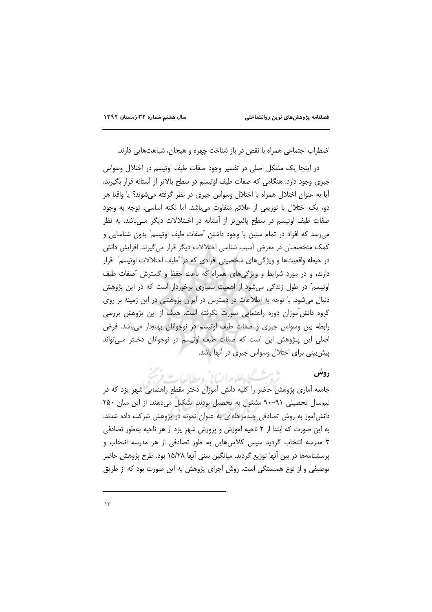اضطراب اجتماعی همراه با نقص در باز شناخت چهره و هیجان، شباهتهایی دارند.

در اینجا یک مشکل اصلی در تفسیر وجود صفات طیف اوتیسم در اختلال وسواس جبری وجود دارد. هنگامی که صفات طیف اوتیسم در سطح بالاتر از آستانه قرار بگیرند، آيا به عنوان اختلال همراه با اختلال وسواس جبري در نظر گرفته مي شوند؟ يا واقعا هر دو، یک اختلال با توزیعی از علائم متفاوت میباشد. اما نکته اساسی، توجه به وجود صفات طیف اوتیسم در سطح پائین تر از آستانه در اخـتلالات دیگر مــی باشد. به نظر می رسد که افراد در تمام سنین با وجود داشتن "صفات طیف اوتیسم" بدون شناسایی و كمك متخصصان در معرض أسيب شناسي اختلالات ديگر قرار مي گيرند. افزايش دانش در حيطه واقعيتها و ويژگيهاي شخصيتي افرادي كه در "طيف اختلالات اوتيسم" قرار دارند، و در مورد شرایط و ویژگیهای همراه که باعث حفظ و گسترش "صفات طیف اوتیسم" در طول زندگی میشود از اهمیت بسیاری برخوردار است که در این پژوهش دنبال می شود. با توجه به اطلاعات در دسترس در ایران پژوهشی در این زمینه بر روی گروه دانشآموزان دوره راهنمایی صورت نگرفته است. هدف از این پژوهش بررسی رابطه بین وسواس جبری و صفات طیف اوتیسم در نوجوانان بهنجار میباشد. فرض اصلي اين پـژوهش اين است كه صفات طيف اوتيسم در نوجوانان دخـتر مـي تواند پیش بینی برای اختلال وسواس جبری در آنها باشد.

> شيث كايفلد مراتباني ومطالعات , وش

جامعه آماری پژوهش حاضر را کلیه دانش آموزان دختر مقطع راهنمایی شهر یزد که در نیم سال تحصیلی ۹۱-۹۰ مشغول به تحصیل بودند، تشکیل می دهند. از این میان ۲۵۰ دانشآموز به روش تصادفی چندمرحلهای به عنوان نمونه در پژوهش شرکت داده شدند. به این صورت که ابتدا از ۲ ناحیه آموزش و پرورش شهر یزد از هر ناحیه بهطور تصادفی ۳ مدرسه انتخاب گردید سیس کلاس هایی به طور تصادفی از هر مدرسه انتخاب و پرسشنامهها در بین آنها توزیع گردید. میانگین سنی آنها ۱۵/۲۸ بود. طرح پژوهش حاضر توصیفی و از نوع همبستگی است. روش اجرای پژوهش به این صورت بود که از طریق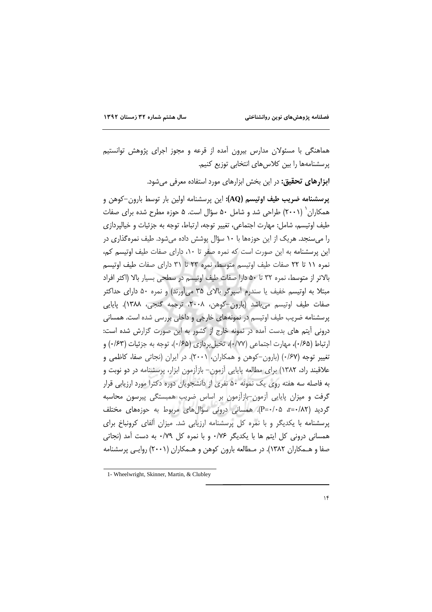هماهنگی با مسئولان مدارس بیرون اًمده از قرعه و مجوز اجرای پژوهش توانستیم پرسشنامهها را بین کلاسهای انتخابی توزیع کنیم.

ابزارهای تحقیق: در این بخش ابزارهای مورد استفاده معرفی میشود.

پرسشنامه ضریب طیف اوتیسم (AQ): این پرسشنامه اولین بار توسط بارون–کوهن و همکاران` (۲۰۰۱) طراحی شد و شامل ۵۰ سؤال است. ۵ حوزه مطرح شده برای صفات طيف اوتيسم، شامل: مهارت اجتماعي، تغيير توجه، ارتباط، توجه به جزئيات و خيالپردازي را می سنجد. هر یک از این حوزهها با ۱۰ سؤال پوشش داده می شود. طیف نمره گذاری در این پرسشنامه به این صورت است که نمره صفر تا ۱۰، دارای صفات طیف اوتیسم کم، نمره ١١ تا ٢٢ صفات طيف اوتيسم متوسط، نمره ٢٣ تا ٣١ داراى صفات طيف اوتيسم بالاتر از متوسط، نمره ٣٢ تا ٥٠ دارا صفات طيف اوتيسم در سطحى بسيار بالا (اكثر افراد مبتلا به اوتیسم خفیف یا سندرم آسیرگر بالای ۳۵ می[ورند) و نمره ۵۰ دارای حداکثر صفات طيف اوتيسم مي باشد (بارون-كوهن، ٢٠٠٨، ترجمه گنجي، ١٣٨٨). پايايي پرسشنامه ضریب طیف اوتیسم در نمونههای خارجی و داخلی بررسی شده است. همسانی درونی آیتم های بدست آمده در نمونه خارج از کشور به این صورت گزارش شده است: ارتباط (۱۶۵)، مهارت اجتماعی (۱۷۷)، تخیل پردازی (۱۶۵)، توجه به جزئیات (۱۶۳) و تغییر توجه (۰/۶۷) (بارون-کوهن و همکاران، ۲۰۰۱). در ایران (نجاتی صفا، کاظمی و علاقبند راد، ۱۳۸۲) برای مطالعه پایایی آزمون- بازآزمون ابزار، پرسشنامه در دو نوبت و به فاصله سه هفته روی یک نمونه ۵۰ نفری از دانشجویان دوره دکترا مورد ارزیابی قرار گرفت و میزان پایایی آزمون-بازآزمون بر اساس ضریب همبستگی پیرسون محاسبه گردید (۲۸۲+=۲، ۵+۰-P). همسانی درونی سؤالهای مربوط به حوزههای مختلف پرسشنامه با یکدیگر و با نمره کل پرسشنامه ارزیابی شد. میزان آلفای کرونباخ برای همسانی درونی کل ایتم ها با یکدیگر ۰/۷۶ و با نمره کل ۰/۷۹ به دست آمد (نجاتی صفا و هـمکاران ۱۳۸۲). در مـطالعه بارون کوهن و هـمکاران (۲۰۰۱) روایـی پرسشنامه

<sup>1-</sup> Wheelwright, Skinner, Martin, & Clubley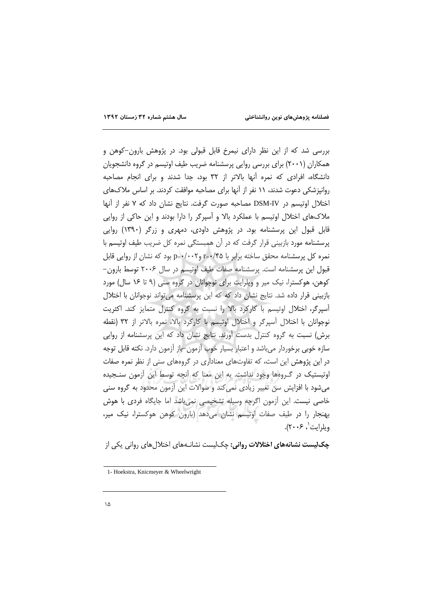بررسی شد که از این نظر دارای نیمرخ قابل قبولی بود. در پژوهش بارون–کوهن و همکاران (۲۰۰۱) برای بررسی روایی پرسشنامه ضریب طیف اوتیسم در گروه دانشجویان دانشگاه، افرادی که نمره آنها بالاتر از ۳۲ بود، جدا شدند و برای انجام مصاحبه روانپزشکی دعوت شدند، ۱۱ نفر از آنها برای مصاحبه موافقت کردند. بر اساس ملاکهای اختلال اوتبسم در DSM-IV مصاحبه صورت گرفت. نتایج نشان داد که ۷ نفر از آنها ملاکهای اختلال اوتیسم با عملکرد بالا و آسپرگر را دارا بودند و این حاکی از روایی قابل قبول این پرسشنامه بود. در پژوهش داودی، دمهری و زرگر (۱۳۹۰) روایی پرسشنامه مورد بازبینی قرار گرفت که در آن همبستگی نمره کل ضریب طیف اوتیسم با نمره کل پرسشنامه محقق ساخته برابر با r=٠/۴۵ وr−٠/٠٢ بود که نشان از روایی قابل قبول این پرسشنامه است. پرسشنامه صفات طیف اوتیسم در سال ۲۰۰۶ توسط بارون-کوهن، هوکسترا، نیک میر و ویلرایت برای نوجوانان در گروه سنی (۹ تا ۱۶ سال) مورد بازبینی قرار داده شد. نتایج نشان داد که که این پرسشنامه می تواند نوجوانان با اختلال آسپرگر، اختلال اوتیسم با کارکرد بالا را نسبت به گروه کنترل متمایز کند. اکثریت نوجوانان با اختلال آسپرگر و اختلال اوتیسم با کارکرد بالا، نمره بالاتر از ۳۲ (نقطه برش) نسبت به گروه کنترل بدست آورند. نتایج نشان داد که این پرسشنامه از روایی سازه خوبی برخوردار می باشد و اعتبار بسیار خوب آزمون-باز آزمون دارد. نکته قابل توجه در این پژوهش این است، که تفاوتهای معناداری در گروههای سنی از نظر نمره صفات اوتیستیک در گـروهها وجود نداشت. به این معنا که آنچه توسط این آزمون سنجیده می شود با افزایش سن تغییر زیادی نمی کند و سوالات این آزمون محدود به گروه سنی خاصی نیست. این آزمون اگرچه وسیله تشخیصی نمی باشد اما جایگاه فردی با هوش بهنجار را در طیف صفات اوتیسم نشان میدهد (بارون کوهن هوکسترا، نیک میر، وبلرايت'، ۲۰۰۶).

چک لیست نشانههای اختلالات روانی: چک لیست نشانـههای اختلالهای روانی یکی از

<sup>1-</sup> Hoekstra, Knicmeyer & Wheelwright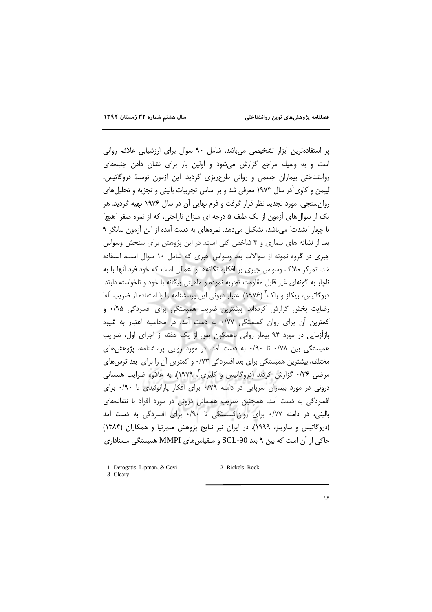پر استفادهترین ابزار تشخیصی میباشد. شامل ۹۰ سوال برای ارزشیابی علائم روانی است و به وسیله مراجع گزارش می شود و اولین بار برای نشان دادن جنبههای روانشناختی بیماران جسمی و روانی طرحریزی گردید. این آزمون توسط دروگاتیس، لییمن و کاوی ٰدر سال ۱۹۷۳ معرفی شد و بر اساس تجربیات بالینی و تجزیه و تحلیلهای روان سنجی، مورد تجدید نظر قرار گرفت و فرم نهایی آن در سال ۱۹۷۶ تهیه گردید. هر یک از سوالِهای آزمون از یک طیف ۵ درجه ای میزان ناراحتی، که از نمره صفر "هیچ" تا چهار "بشدت" می باشد، تشکیل می دهد. نمرههای به دست آمده از این آزمون بیانگر ۹ بعد از نشانه های بیماری و ۳ شاخص کلی است. در این پژوهش برای سنجش وسواس جبری در گروه نمونه از سوالات بعد وسواس جبری که شامل ١٠ سوال است، استفاده شد. تمرکز ملاک وسواس جبری بر افکار، تکانهها و اعمالی است که خود فرد آنها را به ناچار به گونهای غیر قابل مقاومت تجربه نموده و ماهیتی بیگانه با خود و ناخواسته دارند. دروگاتیس، ریکلز و راک<sup>۲</sup> (۱۹۷۶) اعتبار درونی این پرسشنامه را با استفاده از ضریب آلفا رضایت بخش گزارش کردهاند. بیشترین ضریب همبستگی برای افسردگی ۰/۹۵ كمترين آن براي روان گسستگي ٠/٧٧ به دست آمد. در محاسبه اعتبار به شيوه بازآزمایی در مورد ۹۴ بیمار روانی ناهمگون پس از یک هفته از اجرای اول، ضرایب همبستگی بین ۰/۷۸ تا ۰/۹۰ به دست آمد. در مورد روایی پرسشنامه، پژوهش های مختلف، بیشترین همبستگی برای بعد افسردگی ۰/۷۳ و کمترین آن را برای بعد ترس های مرضی ۰/۳۶ گزارش کردند (دروگاتیس و کلیری ، ۱۹۷۹). به علاوه ضرایب همسانی درونی در مورد بیماران سرپایی در دامنه ۰/۷۹ برای افکار پارانوئیدی تا ۰/۹۰ برای افسردگی به دست آمد. همچنین ضریب همسانی درونی در مورد افراد با نشانههای بالینی، در دامنه ۰/۷۷ برای روان گسستگی تا ۰/۹۰ برای افسردگی به دست آمد (دروگاتیس و ساویتز، ۱۹۹۹). در ایران نیز نتایج پژوهش مدبرنیا و همکاران (۱۳۸۴) حاکی از آن است که بین ۹ بعد SCL-90 و مـقیاس های MMPI همبستگی مـعناداری

<sup>1-</sup> Derogatis, Lipman, & Covi

<sup>2-</sup> Rickels, Rock

<sup>3-</sup> Cleary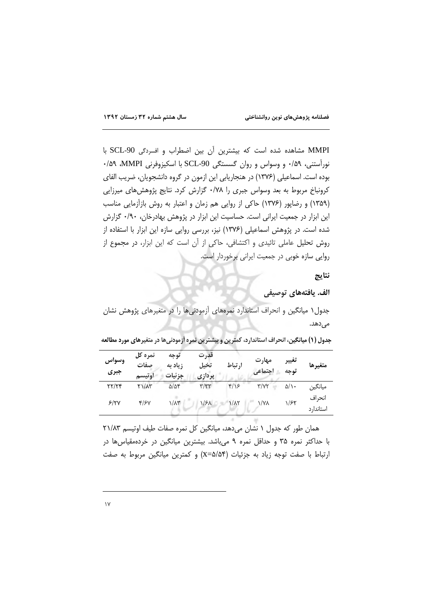MMPI مشاهده شده است كه بيشترين أن بين اضطراب و افسردگى SCL-90 با نورآستنی، ۰/۵۹ و وسواس و روان گسستگی SCL-90 با اسکیزوفرنی MMPI، ۰/۵۹ بوده است. اسماعیلی (۱۳۷۶) در هنجاریابی این ازمون در گروه دانشجویان، ضریب الفای کرونباخ مربوط به بعد وسواس جبری را ۰/۷۸ گزارش کرد. نتایج پژوهشهای میرزایی (۱۳۵۹) و رضایور (۱۳۷۶) حاکی از روایی هم زمان و اعتبار به روش بازآزمایی مناسب این ابزار در جمعیت ایرانی است. حساسیت این ابزار در پژوهش بهادرخان، ۰/۹۰ گزارش شده است. در پژوهش اسماعیلی (۱۳۷۶) نیز، بررسی روایی سازه این ابزار با استفاده از روش تحلیل عاملی تائیدی و اکتشافی، حاکی از آن است که این ابزار، در مجموع از روایی سازه خوبی در جمعیت ایرانی برخوردار است.

نتايج

الف. يافتههاي توصيفي

جدول ۱ میانگین و انحراف استاندارد نمرههای آزمودنیها را در متغیرهای پژوهش نشان مىدھد.

جدول (١) میانگین، انحراف استاندارد، کمترین و بیشترین نمره اَزمودنیها در متغیرهای مورد مطالعه

| وسواس<br>جبري | نمره کل<br>صفات<br>اوتيسم | توحه<br>زیاد به<br>جزئيات | قدرت<br>تخيل<br>پردازی | ارتباط        | مهارت<br>اجتماعى    | تغيير<br>توحه | متغيرها              |
|---------------|---------------------------|---------------------------|------------------------|---------------|---------------------|---------------|----------------------|
| YY/YY         | $Y1/\Lambda Y$            | $\Delta/\Delta f$         | $\tau/\tau\tau$        | $f/\sqrt{2}$  | $\Upsilon/\Upsilon$ | ۵/۱۰          | ميانگين              |
| 5/7V          | 4/۶۷                      | $1/\lambda$ ۳             | $1/5\lambda$           | $1/\lambda$ ٢ | ۱/۷۸                | 1/۶۲          | انحراف<br>استاندار د |

همان طور که جدول ۱ نشان میدهد، میانگین کل نمره صفات طیف اوتیسم ۲۱/۸۳ با حداکثر نمره ۳۵ و حداقل نمره ۹ می باشد. بیشترین میانگین در خردهمقیاس ها در ارتباط با صفت توجه زياد به جزئيات (x=۵/۵۴) و كمترين ميانگين مربوط به صفت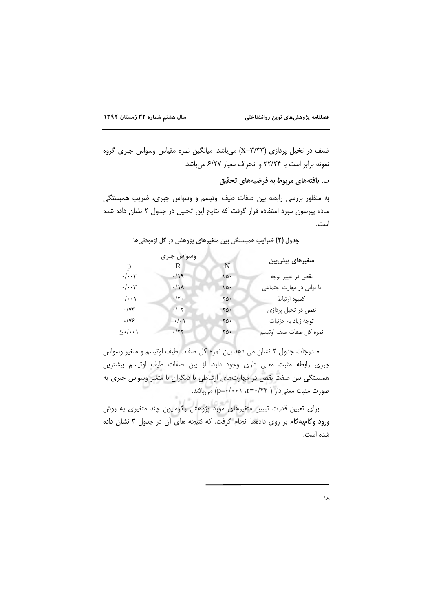ضعف در تخیل پردازی (x=۳/۳۳) می باشد. میانگین نمره مقیاس وسواس جبری گروه نمونه برابر است با ٢٢/٢۴ و انحراف معيار ۶/٢٧ مي باشد.

ب. يافتەهاي مربوط به فرضيههاي تحقيق

به منظور بررسی رابطه بین صفات طیف اوتیسم و وسواس جبری، ضریب همبستگی ساده پیرسون مورد استفاده قرار گرفت که نتایج این تحلیل در جدول ۲ نشان داده شده است.

| р                                                           | وسواس جبرى<br>R          | N   | متغیرهای پیش بین          |
|-------------------------------------------------------------|--------------------------|-----|---------------------------|
| $\cdot/\cdot\cdot$ ٢                                        | $\cdot/9$                | ۲۵۰ | نقص در تغییر توجه         |
| $\cdot/\cdot\cdot$ ۳                                        | $\cdot/\lambda$          | ۲۵۰ | نا توانی در مهارت اجتماعی |
| $\boldsymbol{\cdot}/\boldsymbol{\cdot}\boldsymbol{\cdot}$ \ | $\cdot/\tau$ .           | ۲۵۰ | كمبود ارتباط              |
| $\cdot$ / $\gamma\tau$                                      | $\cdot/\cdot$ $\uparrow$ | ra. | نقص در تخیل پردازی        |
| $\cdot$ /Y۶                                                 | $-\cdot/\cdot$ )         | ۲۵۰ | توجه زياد به جزئيات       |
| $\leq$ ./                                                   | $\cdot$ /۲۲              | ٢۵٠ | نمره كل صفات طيف اوتيسم   |

جدول (٢) ضرایب همبستگی بین متغیرهای پژوهش در کل آزمودنیها

مندرجات جدول ٢ نشان مي دهد بين نمره كل صفات طيف اوتيسم و متغير وسواس جبری رابطه مثبت معنی داری وجود دارد. از بین صفات طیف اوتیسم بیشترین همبستگی بین صفت نقص در مهارتهای ارتباطی با دیگران با متغیر وسواس جبری به صورت مثبت معنى دار ( r=٠/٢٢، p=٠/٠٠١) مي باشد.

برای تعیین قدرت تبیین متغیرهای مورد پژوهش رگرسیون چند متغیری به روش ورود وكامبه كام بر روى دادهها انجام كرفت. كه نتيجه هاى أن در جدول ٣ نشان داده شده است.

 $\lambda$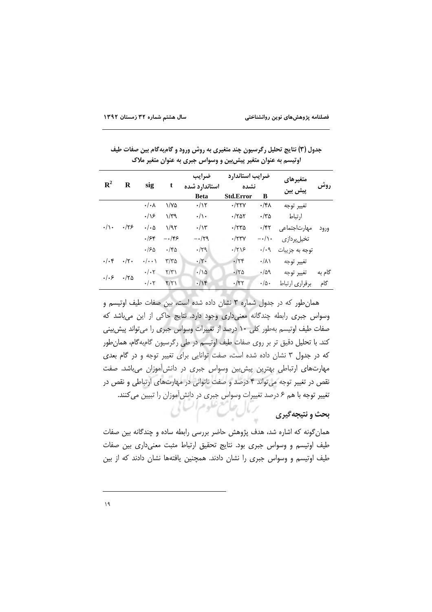| اوتیسم به عنوان متغیر پیش بین و وسواس جبری به عنوان متغیر ملاک |                |                      |                      |                        |                         |                  |                |        |  |
|----------------------------------------------------------------|----------------|----------------------|----------------------|------------------------|-------------------------|------------------|----------------|--------|--|
| $\mathbf{R}^2$                                                 |                | sig                  |                      | ضرايب<br>استاندارد شده | ضرايب استاندارد<br>نشده |                  | متغيرهاي       | روش    |  |
|                                                                | R              |                      | t                    |                        |                         |                  | پیش بین        |        |  |
|                                                                |                |                      |                      | <b>Beta</b>            | <b>Std.Error</b>        | B                |                |        |  |
| $\cdot/\rangle$ .                                              | .175           | $\cdot/\cdot \wedge$ | ۱/۷۵                 | $\cdot/\gamma$         | $\cdot$ /۲۲۷            | ۰/۴۸             | تغيير توجه     |        |  |
|                                                                |                | .19                  | $\gamma/\gamma$      | $\cdot/\rangle$        | $\cdot$ /۲۵۲            | ۳۵/۰             | ارتباط         |        |  |
|                                                                |                | $\cdot/\cdot \Delta$ | 1/97                 | $\cdot/\gamma$         | $\cdot$ /۲۳۵            | $\cdot$ /۴۲      | مهارت جتماعی   | ورود   |  |
|                                                                |                | .155                 | $-\cdot$ /۴۶         | $-\cdot/\tau$ ۹        | $\cdot$ /۲۳ $\gamma$    | $-\cdot/\cdot$   | تخيل پردازي    |        |  |
|                                                                |                | ۱۶۵.                 | $\cdot$ /۴۵          | $-159$                 | $\frac{1}{\sqrt{1}}$    | $\cdot/\cdot$ 9  | توجه به جزييات |        |  |
| $\cdot/\cdot$ ۴                                                | $\cdot/\tau$ . | $\cdot/\cdot\cdot$   | ۳/۳۵                 | $\cdot/\tau$ .         | $\cdot$ /٢۴             | $\cdot/\lambda$  | تغيير توجه     |        |  |
| .   . 5                                                        | $\cdot$ /۲۵    | $\cdot/\cdot7$       | $\Upsilon/\Upsilon$  | $\cdot/\sqrt{2}$       | $\cdot$ /۲۵             | $\cdot/\Delta$ 9 | تغيير توجه     | گام به |  |
|                                                                |                | $\cdot/\cdot7$       | $\frac{1}{\sqrt{2}}$ | $\cdot/\gamma$         | $\cdot$ /۲۲             | $\cdot/\Delta$ . | برقراري ارتباط | گام    |  |

جدول (۳) نتایج تحلیل رگرسیون چند متغیری به روش ورود و گامبهگام بین صفات طیف

همان طور که در جدول شماره ۳ نشان داده شده است، بین صفات طیف اوتیسم و وسواس جبری رابطه چندگانه معنی داری وجود دارد. نتایج حاکی از این می باشد که صفات طیف اوتیسم بهطور کلی ١٠ درصد از تغییرات وسواس جبری را میتواند پیش بینی كند. با تحليل دقيق تر بر روى صفات طيف اوتيسم در طي رگرسيون گامبهگام، همان طور که در جدول ۳ نشان داده شده است، صفت توانایی برای تغییر توجه و در گام بعدی مهارتهای ارتباطی بهترین پیش بین وسواس جبری در دانش آموزان می باشد. صفت نقص در تغییر توجه می تواند ۴ درصد و صفت ناتوانی در مهارتهای ارتباطی و نقص در تغییر توجه با هم ۶ درصد تغییرات وسواس جبری در دانش آموزان را تبیین می کنند. ترمال حامع علوم السامي

# بحث و نتیجه گیری

همان گونه که اشاره شد، هدف پژوهش حاضر بررسی رابطه ساده و چندگانه بین صفات طیف اوتیسم و وسواس جبری بود. نتایج تحقیق ارتباط مثبت معنیداری بین صفات طیف اوتیسم و وسواس جبری را نشان دادند. همچنین یافتهها نشان دادند که از بین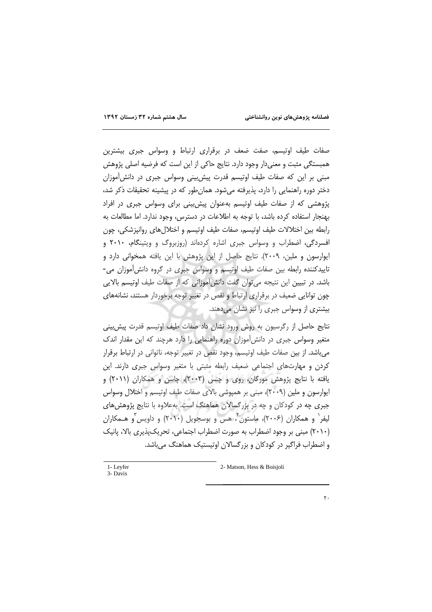صفات طیف اوتیسم، صفت ضعف در برقراری ارتباط و وسواس جبری بیشترین همبستگی مثبت و معنیدار وجود دارد. نتایج حاکی از این است که فرضیه اصلی پژوهش مبنی بر این که صفات طیف اوتیسم قدرت پیش بینی وسواس جبری در دانش آموزان دختر دوره راهنمایی را دارد، پذیرفته میشود. همانطور که در پیشینه تحقیقات ذکر شد، پژوهشی که از صفات طیف اوتیسم بهعنوان پیش بینی برای وسواس جبری در افراد بهنجار استفاده كرده باشد، با توجه به اطلاعات در دسترس، وجود ندارد. اما مطالعات به رابطه بین اختلالات طیف اوتیسم، صفات طیف اوتیسم و اختلال های روانیزشکی، چون افسردگی، اضطراب و وسواس جبری اشاره کردهاند (روزبروگ و ویتینگام، ۲۰۱۰ و ایوارسون و ملین، ۲۰۰۹). نتایج حاصل از این پژوهش با این یافته همخوانی دارد و تاییدکننده رابطه بین صفات طیف اوتیسم و وسواس جبری در گروه دانش آموزان می-باشد. در تبیین این نتیجه می توان گفت دانش آموزانی که از صفات طیف اوتیسم بالایی چون توانایی ضعیف در برقراری ارتباط و نقص در تغییر توجه برخوردار هستند، نشانههای بیشتری از وسواس جبری را نیز نشان میدهند.

نتايج حاصل از رگرسيون به روش ورود نشان داد صفات طيف اوتيسم قدرت پيش بيني متغیر وسواس جبری در دانش آموزان دوره راهنمایی را دارد هرچند که این مقدار اندک می باشد. از بین صفات طیف اوتیسم، وجود نقص در تغییر توجه، ناتوانی در ارتباط برقرار کردن و مهارتهای اجتماعی ضعیف رابطه مثبتی با متغیر وسواس جبری دارند. این یافته با نتایج پژوهش مورگان، روی و چنس (۲۰۰۳)، چاسن و همکاران (۲۰۱۱) و ایوارسون و ملین (٢٠٠٩)، مبنی بر همپوشی بالای صفات طیف اوتیسم و اختلال وسواس جبری چه در کودکان و چه در بزرگسالان هماهنگ است. بهعلاوه با نتایج پژوهش های لیفر` و همکاران (۲۰۰۶)، ماستون ٌ، هس و بوسجویل (۲۰۱۰) و داویس ٌو هــمکاران (۲۰۱۰) مبنی بر وجود اضطراب به صورت اضطراب اجتماعی، تحریک پذیری بالا، پانیک و اضطراب فراگیر در کودکان و بزرگسالان اوتیستیک هماهنگ می باشد.

1-Levfer 3- Davis

2- Matson, Hess & Boisioli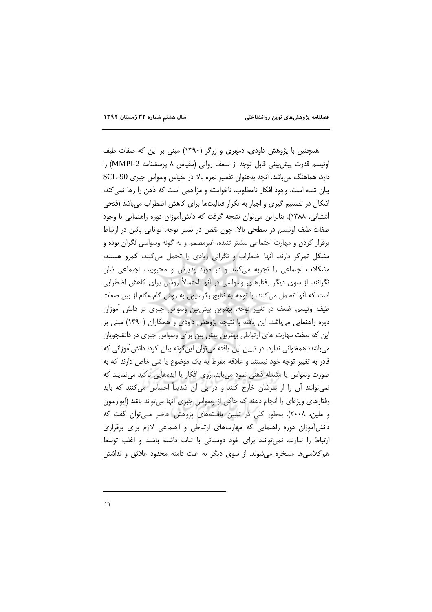همچنین با پژوهش داودی، دمهری و زرگر (۱۳۹۰) مبنی بر این که صفات طیف اوتیسم قدرت پیش بینی قابل توجه از ضعف روانی (مقیاس ۸ پرسشنامه 2-MMPI) را دارد، هماهنگ م ,باشد. آنچه بهعنوان تفسیر نمره بالا در مقیاس وسواس جبری SCL-90 بیان شده است، وجود افکار نامطلوب، ناخواسته و مزاحمی است که ذهن را رها نمی کند، اشکال در تصمیم گیری و اجبار به تکرار فعالیتها برای کاهش اضطراب میباشد (فتحی أشتياني، ١٣٨٨). بنابراين مي¤وان نتيجه گرفت كه دانشأموزان دوره راهنمايي با وجود صفات طیف اوتیسم در سطحی بالا، چون نقص در تغییر توجه، توانایی پائین در ارتباط برقرار کردن و مهارت اجتماعی بیشتر تنیده، غیرمصمم و به گونه وسواسی نگران بوده و مشکل تمرکز دارند. آنها اضطراب و نگرانی زیادی را تحمل میکنند، کمرو هستند، مشکلات اجتماعی را تجربه میکنند و در مورد پذیرش و محبوبیت اجتماعی شان نگرانند. از سوی دیگر رفتارهای وسواسی در آنها احتمالاً روشی برای کاهش اضطرابی است که آنها تحمل میکنند. با توجه به نتایج رگرسیون به روش گامبهگام از بین صفات طیف اوتیسم، ضعف در تغییر توجه، بهترین پیش بین وسواس جبری در دانش آموزان دوره راهنمایی میباشد. این یافته با نتیجه پژوهش داودی و همکاران (۱۳۹۰) مبنی بر این که صفت مهارت های ارتباطی بهترین پیش بین برای وسواس جبری در دانشجویان می باشد، همخوانی ندارد. در تبیین این یافته می توان این گونه بیان کرد، دانش آموزانی که قادر به تغییر توجه خود نیستند و علاقه مفرط به یک موضوع یا شی خاص دارند که به صورت وسواس یا مشغله ذهنی نمود می یابد. روی افکار یا ایدههایی تأکید می نمایند که نمی توانند ان را از سرشان خارج کنند و در پی آن شدیداً احساس می کنند که باید رفتارهای ویژمای را انجام دهند که حاکی از وسواس جبری آنها می تواند باشد (ایوارسون و ملین، ۲۰۰۸). بهطور کلی در تبیین یافتههای پژوهش حاضر مـی¤وان گفت که دانش آموزان دوره راهنمایی که مهارتهای ارتباطی و اجتماعی لازم برای برقراری ارتباط را ندارند، نمی توانند برای خود دوستانی با ثبات داشته باشند و اغلب توسط هم کلاسیها مسخره میشوند. از سوی دیگر به علت دامنه محدود علائق و نداشتن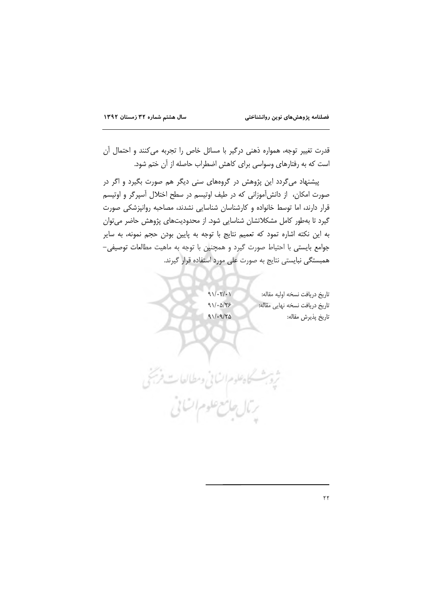قدرت تغییر توجه، همواره ذهنی درگیر با مسائل خاص را تجربه میکنند و احتمال آن است که به رفتارهای وسواسی برای کاهش اضطراب حاصله از آن ختم شود.

پیشنهاد می گردد این پژوهش در گروههای سنی دیگر هم صورت بگیرد و اگر در صورت امکان، از دانش آموزانی که در طیف اوتیسم در سطح اختلال آسپرگر و اوتیسم قرار دارند، اما توسط خانواده و کارشناسان شناسایی نشدند، مصاحبه روانپزشکی صورت گیرد تا بهطور کامل مشکلاتشان شناسایی شود. از محدودیتهای پژوهش حاضر می توان به این نکته اشاره تمود که تعمیم نتایج با توجه به پایین بودن حجم نمونه، به سایر جوامع بايستى با احتياط صورت گيرد و همچنين با توجه به ماهيت مطالعات توصيفى-همبستگی نبایستی نتایج به صورت علی مورد استفاده قرار گیرند.

 $911.71.1$ 

 $911.0175$ 

 $91/19/70$ 

تاريخ دريافت نسخه اوليه مقاله: تاريخ دريافت نسخه نهايي مقاله: تاريخ پذيرش مقاله:

ثروبث كاهطوم انسانى ومطالعات فرشخ يتال جامع علوم اتنانى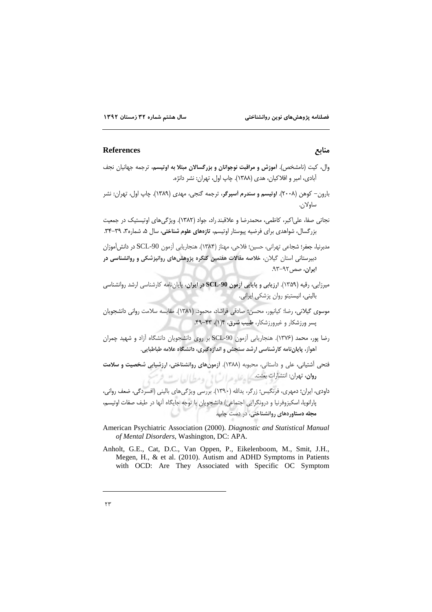منابع

#### **References**

- وال، كيت (نامشخص). أموزش و مراقبت نوجوانان و بزرگسالان مبتلا به اوتيسم، ترجمه جهانيان نجف آبادي، امير و افلاكيان، هدي (١٣٨٨). چاپ اول، تهران: نشر دانژه.
- بارون– کوهن (۲۰۰۸). ا**وتیسم و سندرم آسپرگر**، ترجمه گنجی، مهدی (۱۳۸۹). چاپ اول، تهران: نشر ساه لان

نجاتي صفا، علي|کبر، کاظمي، محمدرضا و علاقبند راد، جواد (١٣٨٢). ويژگي هاي اوتيستيک در جمعيت بزرگسال، شواهدی برای فرضیه پیوستار اوتیسم، تازههای علوم شناختی، سال ۵، شماره۳، ۳۹-۳۴.

مدبرنيا، جعفر؛ شجاعي تهراني، حسين؛ فلاحي، مهناز (١٣٨۴). هنجاريابي آزمون SCL-90 در دانش[موزان دبیرستانی استان گیلان، خلاصه مقالات هفتمین کنگره پژوهش های روانپزشکی و روانشناسی در ایران، صص ۹۲-۹۳.

- میرزایی، رقیه (۱۳۵۹). ارزیابی و پایایی آزمون SCL-90 در ایران، پایان نامه کارشناسی ارشد روانشناسی بالینی، انیستیتو روان پزشکی ایرانی.
- موسوى گيلانى، رضا؛ كيانپور، محسن؛ صادقى فراشاد، محمود. (١٣٨١). مقايسه سلامت روانى دانشجويان پسر ورزشکار و غیرورزشکار، طبیب شرق، ۱۴(۱)، ۴۳-۴۹.
- رضا یور، محمد (۱۳۷۶). هنجاریابی آزمون SCL-90 بر روی دانشجویان دانشگاه آزاد و شهید چمران .<br>اهواز، پایان نامه کارشناسی ارشد سنحش و اندازهگیری، دانشگاه علامه طباطبایی
- .<br>فتحی اَشتیانی، علی و داستانی، محبوبه (۱۳۸۸). آزمونهای روانشناختی، ارزشیابی شخصیت و **سلامت رون. ت**هران: انتشارات بعثت کے وعلیہ مرا<sup>س</sup>ا لی وسط العاب میں فرس

داودی، ایران؛ دمهری، فرنگیس؛ زرگر، یدالله (١٣٩٠). بررسی ویژگیهای بالینی (افسردگی، ضعف روانی، يارانويا، اسكيزوفرنيا و درونگرايي اجتماعي) دانشجويان با توجه جايگاه آنها در طيف صفات اوتيسم، مجله دستاوردهای روانشناختی، در دست چاپ.

- American Psychiatric Association (2000). Diagnostic and Statistical Manual of Mental Disorders, Washington, DC: APA.
- Anholt, G.E., Cat, D.C., Van Oppen, P., Eikelenboom, M., Smit, J.H., Megen, H., & et al. (2010). Autism and ADHD Symptoms in Patients with OCD: Are They Associated with Specific OC Symptom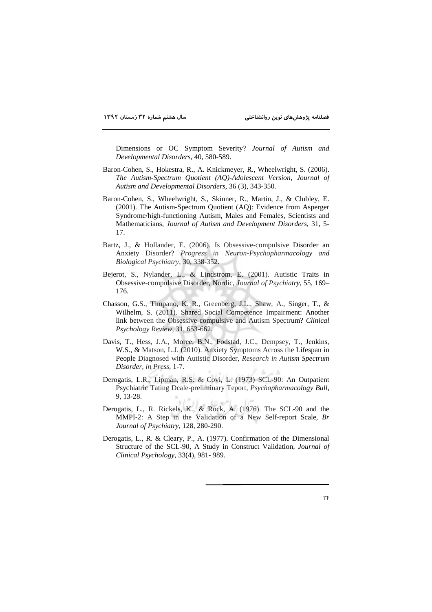Dimensions or OC Symptom Severity? *Journal of Autism and Developmental Disorders*, 40, 580-589.

- Baron-Cohen, S., Hokestra, R., A. Knickmeyer, R., Wheelwright, S. (2006). *The Autism-Spectrum Quotient (AQ)-Adolescent Version*, *Journal of Autism and Developmental Disorders*, 36 (3), 343-350.
- Baron-Cohen, S., Wheelwright, S., Skinner, R., Martin, J., & Clubley, E. (2001). The Autism-Spectrum Quotient (AQ): Evidence from Asperger Syndrome/high-functioning Autism, Males and Females, Scientists and Mathematicians, *Journal of Autism and Development Disorders*, 31, 5- 17.
- Bartz, J., & Hollander, E. (2006). Is Obsessive-compulsive Disorder an Anxiety Disorder? *Progress in Neuron-Psychopharmacology and Biological Psychiatry*, 30, 338-352.
- Bejerot, S., Nylander, L., & Lindstrom, E. (2001). Autistic Traits in Obsessive-compulsive Disorder, Nordic, *Journal of Psychiatry*, 55, 169– 176.
- Chasson, G.S., Timpano, K. R., Greenberg, J.L., Shaw, A., Singer, T., & Wilhelm, S. (2011). Shared Social Competence Impairment: Another link between the Obsessive-compulsive and Autism Spectrum? *Clinical Psychology Review*, 31, 653-662.
- Davis, T., Hess, J.A., Moree, B.N., Fodstad, J.C., Dempsey, T., Jenkins, W.S., & Matson, L.J. (2010). Anxiety Symptoms Across the Lifespan in People Diagnosed with Autistic Disorder, *Research in Autism Spectrum Disorder, in Press*, 1-7.
- Derogatis, L.R., Lipman, R.S. & Covi, L. (1973) SCL-90: An Outpatient Psychiatric Tating Dcale-preliminary Teport, *Psychopharmacology Bull*, 9, 13-28.
- Derogatis, L., R. Rickels, K., & Rock, A. (1976). The SCL-90 and the MMPI-2: A Step in the Validation of a New Self-report Scale*, Br Journal of Psychiatry*, 128, 280-290.
- Derogatis, L., R. & Cleary, P., A. (1977). Confirmation of the Dimensional Structure of the SCL-90, A Study in Construct Validation*, Journal of Clinical Psychology*, 33(4), 981- 989.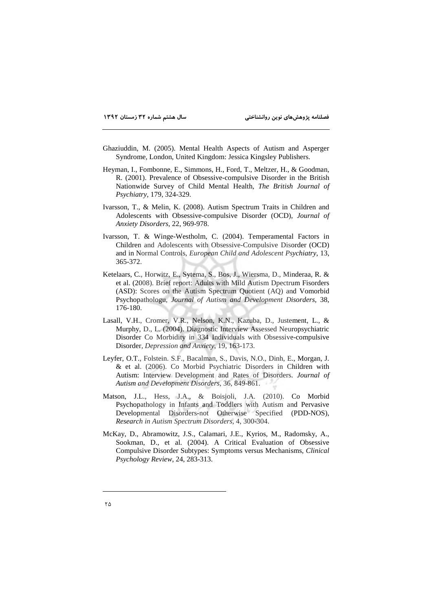- Ghaziuddin, M. (2005). Mental Health Aspects of Autism and Asperger Syndrome, London, United Kingdom: Jessica Kingsley Publishers.
- Heyman, I., Fombonne, E., Simmons, H., Ford, T., Meltzer, H., & Goodman, R. (2001). Prevalence of Obsessive-compulsive Disorder in the British Nationwide Survey of Child Mental Health, *The British Journal of Psychiatry*, 179, 324-329.
- Ivarsson, T., & Melin, K. (2008). Autism Spectrum Traits in Children and Adolescents with Obsessive-compulsive Disorder (OCD), *Journal of Anxiety Disorders*, 22, 969-978.
- Ivarsson, T. & Winge-Westholm, C. (2004). Temperamental Factors in Children and Adolescents with Obsessive-Compulsive Disorder (OCD) and in Normal Controls, *European Child and Adolescent Psychiatry*, 13, 365-372.
- Ketelaars, C., Horwitz, E., Sytema, S., Bos, J., Wiersma, D., Minderaa, R. & et al. (2008). Brief report: Adults with Mild Autism Dpectrum Fisorders (ASD): Scores on the Autism Spectrum Quotient (AQ) and Vomorbid Psychopathologu*, Journal of Autism and Development Disorders*, 38, 176-180.
- Lasall, V.H., Cromer, V.R., Nelson, K.N., Kazuba, D., Justement, L., & Murphy, D., L. (2004). Diagnostic Interview Assessed Neuropsychiatric Disorder Co Morbidity in 334 Individuals with Obsessive-compulsive Disorder*, Depression and Anxiety*, 19, 163-173.
- Leyfer, O.T., Folstein. S.F., Bacalman, S., Davis, N.O., Dinh, E., Morgan, J. & et al. (2006). Co Morbid Psychiatric Disorders in Children with Autism: Interview Development and Rates of Disorders. *Journal of Autism and Development Disorders*, 36, 849-861.
- Matson, J.L., Hess, J.A., & Boisjoli, J.A. (2010). Co Morbid Psychopathology in Infants and Toddlers with Autism and Pervasive Developmental Disorders-not Otherwise Specified (PDD-NOS), *Research in Autism Spectrum Disorders*, 4, 300-304.
- McKay, D., Abramowitz, J.S., Calamari, J.E., Kyrios, M., Radomsky, A., Sookman, D., et al. (2004). A Critical Evaluation of Obsessive Compulsive Disorder Subtypes: Symptoms versus Mechanisms, *Clinical Psychology Review*, 24, 283-313.